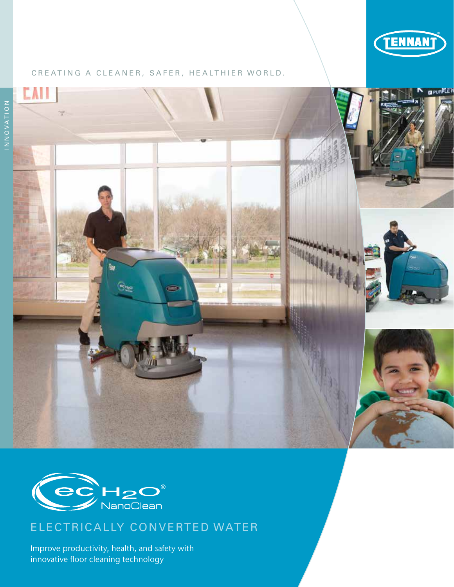

**G** PURPLE F

### CREATING A CLEANER, SAFER, HEALTHIER WORLD.





# ELECTRICALLY CONVERTED WATER

Improve productivity, health, and safety with innovative floor cleaning technology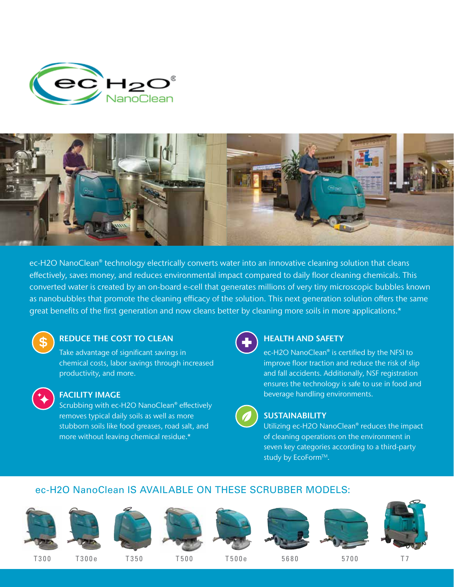



ec-H2O NanoClean® technology electrically converts water into an innovative cleaning solution that cleans effectively, saves money, and reduces environmental impact compared to daily floor cleaning chemicals. This converted water is created by an on-board e-cell that generates millions of very tiny microscopic bubbles known as nanobubbles that promote the cleaning efficacy of the solution. This next generation solution offers the same great benefits of the first generation and now cleans better by cleaning more soils in more applications.\*



## REDUCE THE COST TO CLEAN

Take advantage of significant savings in chemical costs, labor savings through increased productivity, and more.



#### FACILITY IMAGE

Scrubbing with ec-H2O NanoClean® effectively removes typical daily soils as well as more stubborn soils like food greases, road salt, and more without leaving chemical residue.\*



## HEALTH AND SAFETY

ec-H2O NanoClean® is certified by the NFSI to improve floor traction and reduce the risk of slip and fall accidents. Additionally, NSF registration ensures the technology is safe to use in food and beverage handling environments.



## **SUSTAINABILITY**

Utilizing ec-H2O NanoClean® reduces the impact of cleaning operations on the environment in seven key categories according to a third-party study by EcoForm™.

## ec-H2O NanoClean IS AVAILABLE ON THESE SCRUBBER MODELS:

















T300 T300 e T350 T500 T500 e 5680 5700 T 7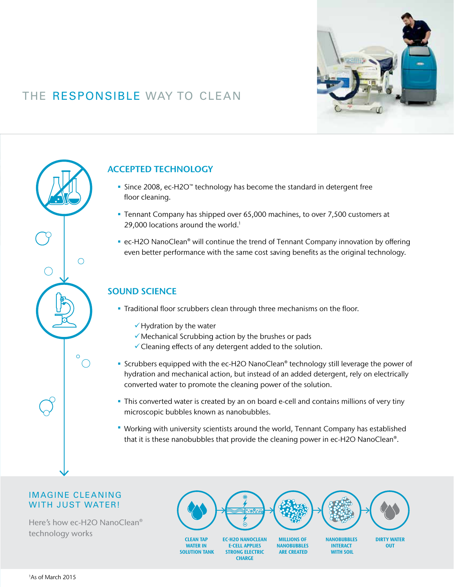

# THE RESPONSIBLE WAY TO CLEAN



## ACCEPTED TECHNOLOGY

- Since 2008, ec-H2O™ technology has become the standard in detergent free floor cleaning.
- Tennant Company has shipped over 65,000 machines, to over 7,500 customers at 29,000 locations around the world.<sup>1</sup>
- ec-H2O NanoClean<sup>®</sup> will continue the trend of Tennant Company innovation by offering even better performance with the same cost saving benefits as the original technology.

## SOUND SCIENCE

- Traditional floor scrubbers clean through three mechanisms on the floor.
	- $\checkmark$  Hydration by the water
	- $\checkmark$  Mechanical Scrubbing action by the brushes or pads
	- $\checkmark$  Cleaning effects of any detergent added to the solution.
- Scrubbers equipped with the ec-H2O NanoClean® technology still leverage the power of hydration and mechanical action, but instead of an added detergent, rely on electrically converted water to promote the cleaning power of the solution.
- This converted water is created by an on board e-cell and contains millions of very tiny microscopic bubbles known as nanobubbles.
- Working with university scientists around the world, Tennant Company has established that it is these nanobubbles that provide the cleaning power in ec-H2O NanoClean®.

**CHARGE** 

### IMAGINE CLEANING WITH JUST WATER!

Here's how ec-H2O NanoClean® technology works



1 As of March 2015